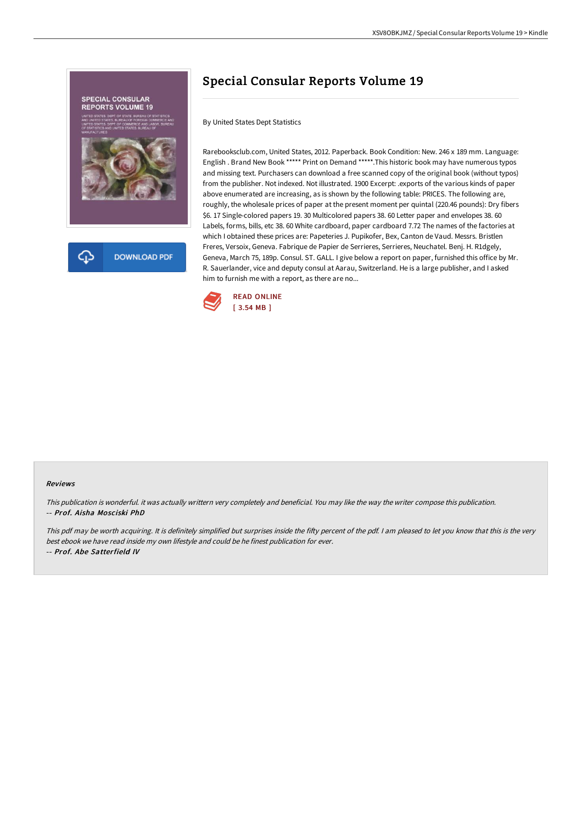

## Special Consular Reports Volume 19

By United States Dept Statistics

Rarebooksclub.com, United States, 2012. Paperback. Book Condition: New. 246 x 189 mm. Language: English . Brand New Book \*\*\*\*\* Print on Demand \*\*\*\*\*.This historic book may have numerous typos and missing text. Purchasers can download a free scanned copy of the original book (without typos) from the publisher. Not indexed. Not illustrated. 1900 Excerpt: .exports of the various kinds of paper above enumerated are increasing, as is shown by the following table: PRICES. The following are, roughly, the wholesale prices of paper at the present moment per quintal (220.46 pounds): Dry fibers \$6. 17 Single-colored papers 19. 30 Multicolored papers 38. 60 Letter paper and envelopes 38. 60 Labels, forms, bills, etc 38. 60 White cardboard, paper cardboard 7.72 The names of the factories at which I obtained these prices are: Papeteries J. Pupikofer, Bex, Canton de Vaud. Messrs. Bristlen Freres, Versoix, Geneva. Fabrique de Papier de Serrieres, Serrieres, Neuchatel. Benj. H. R1dgely, Geneva, March 75, 189p. Consul. ST. GALL. I give below a report on paper, furnished this office by Mr. R. Sauerlander, vice and deputy consul at Aarau, Switzerland. He is a large publisher, and I asked him to furnish me with a report, as there are no...



## Reviews

This publication is wonderful. it was actually writtern very completely and beneficial. You may like the way the writer compose this publication. -- Prof. Aisha Mosciski PhD

This pdf may be worth acquiring. It is definitely simplified but surprises inside the fifty percent of the pdf. I am pleased to let you know that this is the very best ebook we have read inside my own lifestyle and could be he finest publication for ever. -- Prof. Abe Satterfield IV